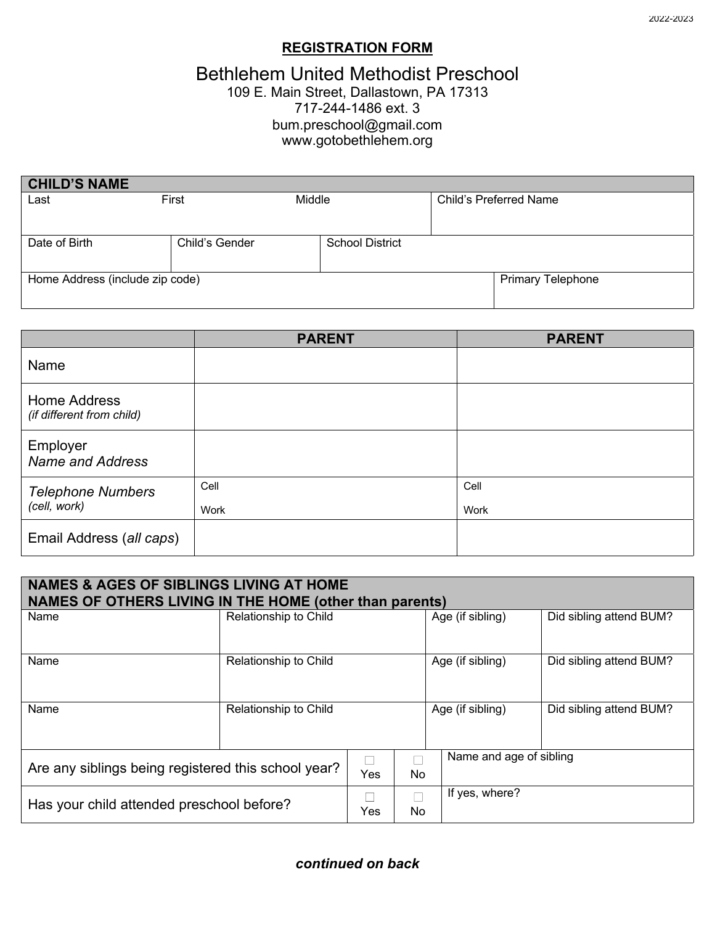## **REGISTRATION FORM**

# Bethlehem United Methodist Preschool

#### 109 E. Main Street, Dallastown, PA 17313 717-244-1486 ext. 3 bum.preschool@gmail.com www.gotobethlehem.org

| <b>CHILD'S NAME</b>             |                |                        |  |                               |
|---------------------------------|----------------|------------------------|--|-------------------------------|
| Last                            | First          | Middle                 |  | <b>Child's Preferred Name</b> |
|                                 |                |                        |  |                               |
|                                 |                |                        |  |                               |
| Date of Birth                   | Child's Gender | <b>School District</b> |  |                               |
|                                 |                |                        |  |                               |
| Home Address (include zip code) |                |                        |  | <b>Primary Telephone</b>      |
|                                 |                |                        |  |                               |

|                                           | <b>PARENT</b> | <b>PARENT</b> |
|-------------------------------------------|---------------|---------------|
| Name                                      |               |               |
| Home Address<br>(if different from child) |               |               |
| Employer<br><b>Name and Address</b>       |               |               |
| <b>Telephone Numbers</b><br>(cell, work)  | Cell<br>Work  | Cell<br>Work  |
| Email Address (all caps)                  |               |               |

| <b>NAMES &amp; AGES OF SIBLINGS LIVING AT HOME</b><br>NAMES OF OTHERS LIVING IN THE HOME (other than parents) |                       |     |                  |                         |                         |  |
|---------------------------------------------------------------------------------------------------------------|-----------------------|-----|------------------|-------------------------|-------------------------|--|
| Name                                                                                                          | Relationship to Child |     | Age (if sibling) | Did sibling attend BUM? |                         |  |
| Name                                                                                                          | Relationship to Child |     |                  | Age (if sibling)        | Did sibling attend BUM? |  |
| Name                                                                                                          | Relationship to Child |     |                  | Age (if sibling)        | Did sibling attend BUM? |  |
| Are any siblings being registered this school year?                                                           |                       | Yes | Τ<br>No          |                         | Name and age of sibling |  |
| Has your child attended preschool before?                                                                     |                       | Yes | No.              | If yes, where?          |                         |  |